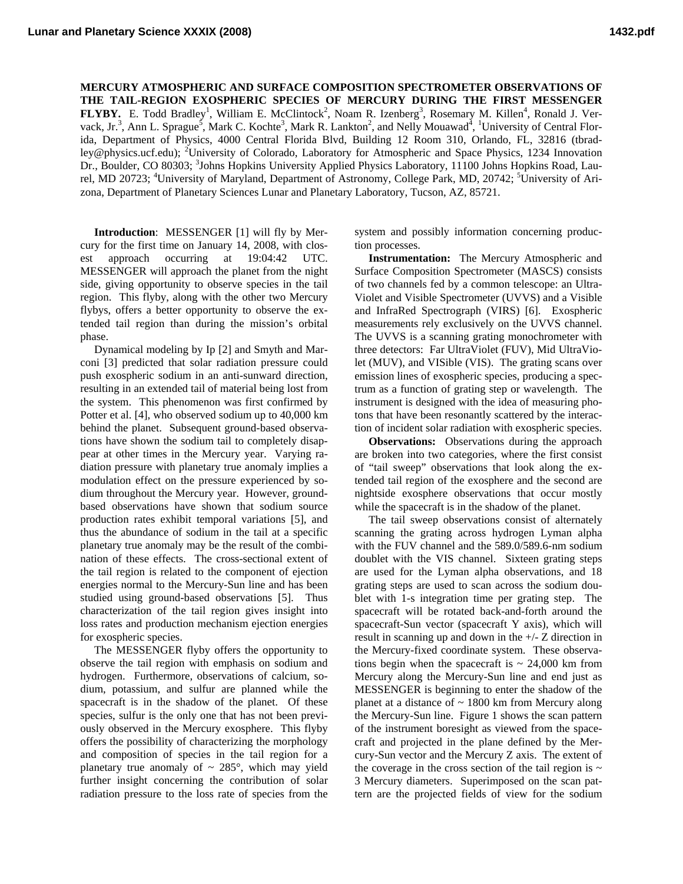**MERCURY ATMOSPHERIC AND SURFACE COMPOSITION SPECTROMETER OBSERVATIONS OF THE TAIL-REGION EXOSPHERIC SPECIES OF MERCURY DURING THE FIRST MESSENGER FLYBY.** E. Todd Bradley<sup>1</sup>, William E. McClintock<sup>2</sup>, Noam R. Izenberg<sup>3</sup>, Rosemary M. Killen<sup>4</sup>, Ronald J. Vervack, Jr.<sup>3</sup>, Ann L. Sprague<sup>5</sup>, Mark C. Kochte<sup>3</sup>, Mark R. Lankton<sup>2</sup>, and Nelly Mouawad<sup>4</sup>, <sup>1</sup>University of Central Florida, Department of Physics, 4000 Central Florida Blvd, Building 12 Room 310, Orlando, FL, 32816 (tbradley@physics.ucf.edu); <sup>2</sup>University of Colorado, Laboratory for Atmospheric and Space Physics, 1234 Innovation Dr., Boulder, CO 80303; <sup>3</sup>Johns Hopkins University Applied Physics Laboratory, 11100 Johns Hopkins Road, Laurel, MD 20723; <sup>4</sup>University of Maryland, Department of Astronomy, College Park, MD, 20742; <sup>5</sup>University of Arizona, Department of Planetary Sciences Lunar and Planetary Laboratory, Tucson, AZ, 85721.

 **Introduction**: MESSENGER [1] will fly by Mercury for the first time on January 14, 2008, with closest approach occurring at 19:04:42 UTC. MESSENGER will approach the planet from the night side, giving opportunity to observe species in the tail region. This flyby, along with the other two Mercury flybys, offers a better opportunity to observe the extended tail region than during the mission's orbital phase.

 Dynamical modeling by Ip [2] and Smyth and Marconi [3] predicted that solar radiation pressure could push exospheric sodium in an anti-sunward direction, resulting in an extended tail of material being lost from the system. This phenomenon was first confirmed by Potter et al. [4], who observed sodium up to 40,000 km behind the planet. Subsequent ground-based observations have shown the sodium tail to completely disappear at other times in the Mercury year. Varying radiation pressure with planetary true anomaly implies a modulation effect on the pressure experienced by sodium throughout the Mercury year. However, groundbased observations have shown that sodium source production rates exhibit temporal variations [5], and thus the abundance of sodium in the tail at a specific planetary true anomaly may be the result of the combination of these effects. The cross-sectional extent of the tail region is related to the component of ejection energies normal to the Mercury-Sun line and has been studied using ground-based observations [5]. Thus characterization of the tail region gives insight into loss rates and production mechanism ejection energies for exospheric species.

 The MESSENGER flyby offers the opportunity to observe the tail region with emphasis on sodium and hydrogen. Furthermore, observations of calcium, sodium, potassium, and sulfur are planned while the spacecraft is in the shadow of the planet. Of these species, sulfur is the only one that has not been previously observed in the Mercury exosphere. This flyby offers the possibility of characterizing the morphology and composition of species in the tail region for a planetary true anomaly of  $\sim 285^\circ$ , which may yield further insight concerning the contribution of solar radiation pressure to the loss rate of species from the system and possibly information concerning production processes.

 **Instrumentation:** The Mercury Atmospheric and Surface Composition Spectrometer (MASCS) consists of two channels fed by a common telescope: an Ultra-Violet and Visible Spectrometer (UVVS) and a Visible and InfraRed Spectrograph (VIRS) [6]. Exospheric measurements rely exclusively on the UVVS channel. The UVVS is a scanning grating monochrometer with three detectors: Far UltraViolet (FUV), Mid UltraViolet (MUV), and VISible (VIS). The grating scans over emission lines of exospheric species, producing a spectrum as a function of grating step or wavelength. The instrument is designed with the idea of measuring photons that have been resonantly scattered by the interaction of incident solar radiation with exospheric species.

**Observations:** Observations during the approach are broken into two categories, where the first consist of "tail sweep" observations that look along the extended tail region of the exosphere and the second are nightside exosphere observations that occur mostly while the spacecraft is in the shadow of the planet.

 The tail sweep observations consist of alternately scanning the grating across hydrogen Lyman alpha with the FUV channel and the 589.0/589.6-nm sodium doublet with the VIS channel. Sixteen grating steps are used for the Lyman alpha observations, and 18 grating steps are used to scan across the sodium doublet with 1-s integration time per grating step. The spacecraft will be rotated back-and-forth around the spacecraft-Sun vector (spacecraft Y axis), which will result in scanning up and down in the +/- Z direction in the Mercury-fixed coordinate system. These observations begin when the spacecraft is  $\sim$  24,000 km from Mercury along the Mercury-Sun line and end just as MESSENGER is beginning to enter the shadow of the planet at a distance of  $\sim$  1800 km from Mercury along the Mercury-Sun line. Figure 1 shows the scan pattern of the instrument boresight as viewed from the spacecraft and projected in the plane defined by the Mercury-Sun vector and the Mercury Z axis. The extent of the coverage in the cross section of the tail region is  $\sim$ 3 Mercury diameters. Superimposed on the scan pattern are the projected fields of view for the sodium